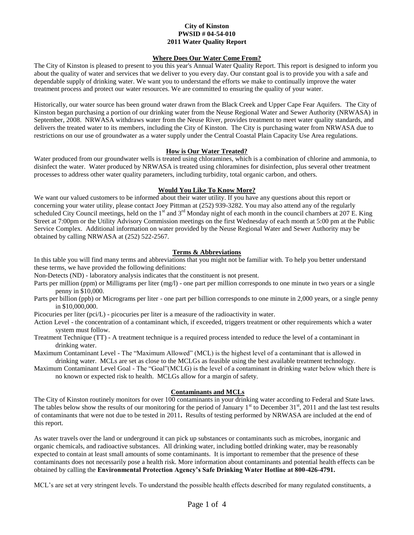### **City of Kinston PWSID # 04-54-010 2011 Water Quality Report**

#### **Where Does Our Water Come From?**

The City of Kinston is pleased to present to you this year's Annual Water Quality Report. This report is designed to inform you about the quality of water and services that we deliver to you every day. Our constant goal is to provide you with a safe and dependable supply of drinking water. We want you to understand the efforts we make to continually improve the water treatment process and protect our water resources. We are committed to ensuring the quality of your water.

Historically, our water source has been ground water drawn from the Black Creek and Upper Cape Fear Aquifers. The City of Kinston began purchasing a portion of our drinking water from the Neuse Regional Water and Sewer Authority (NRWASA) in September, 2008. NRWASA withdraws water from the Neuse River, provides treatment to meet water quality standards, and delivers the treated water to its members, including the City of Kinston. The City is purchasing water from NRWASA due to restrictions on our use of groundwater as a water supply under the Central Coastal Plain Capacity Use Area regulations.

## **How is Our Water Treated?**

Water produced from our groundwater wells is treated using chloramines, which is a combination of chlorine and ammonia, to disinfect the water. Water produced by NRWASA is treated using chloramines for disinfection, plus several other treatment processes to address other water quality parameters, including turbidity, total organic carbon, and others.

## **Would You Like To Know More?**

We want our valued customers to be informed about their water utility. If you have any questions about this report or concerning your water utility, please contact Joey Pittman at (252) 939-3282. You may also attend any of the regularly scheduled City Council meetings, held on the 1<sup>st</sup> and 3<sup>rd</sup> Monday night of each month in the council chambers at 207 E. King Street at 7:00pm or the Utility Advisory Commission meetings on the first Wednesday of each month at 5:00 pm at the Public Service Complex. Additional information on water provided by the Neuse Regional Water and Sewer Authority may be obtained by calling NRWASA at (252) 522-2567.

## **Terms & Abbreviations**

In this table you will find many terms and abbreviations that you might not be familiar with. To help you better understand these terms, we have provided the following definitions:

Non-Detects (ND) - laboratory analysis indicates that the constituent is not present.

- Parts per million (ppm) or Milligrams per liter (mg/l) one part per million corresponds to one minute in two years or a single penny in \$10,000.
- Parts per billion (ppb) or Micrograms per liter one part per billion corresponds to one minute in 2,000 years, or a single penny in \$10,000,000.
- Picocuries per liter (pci/L) picocuries per liter is a measure of the radioactivity in water.
- Action Level the concentration of a contaminant which, if exceeded, triggers treatment or other requirements which a water system must follow.
- Treatment Technique (TT) A treatment technique is a required process intended to reduce the level of a contaminant in drinking water.

Maximum Contaminant Level - The "Maximum Allowed" (MCL) is the highest level of a contaminant that is allowed in drinking water. MCLs are set as close to the MCLGs as feasible using the best available treatment technology.

Maximum Contaminant Level Goal - The "Goal"(MCLG) is the level of a contaminant in drinking water below which there is no known or expected risk to health. MCLGs allow for a margin of safety.

# **Contaminants and MCLs**

The City of Kinston routinely monitors for over  $100$  contaminants in your drinking water according to Federal and State laws. The tables below show the results of our monitoring for the period of January  $1<sup>st</sup>$  to December 31 $<sup>st</sup>$ , 2011 and the last test results</sup> of contaminants that were not due to be tested in 2011**.** Results of testing performed by NRWASA are included at the end of this report.

As water travels over the land or underground it can pick up substances or contaminants such as microbes, inorganic and organic chemicals, and radioactive substances. All drinking water, including bottled drinking water, may be reasonably expected to contain at least small amounts of some contaminants. It is important to remember that the presence of these contaminants does not necessarily pose a health risk. More information about contaminants and potential health effects can be obtained by calling the **Environmental Protection Agency's Safe Drinking Water Hotline at 800-426-4791.**

MCL's are set at very stringent levels. To understand the possible health effects described for many regulated constituents, a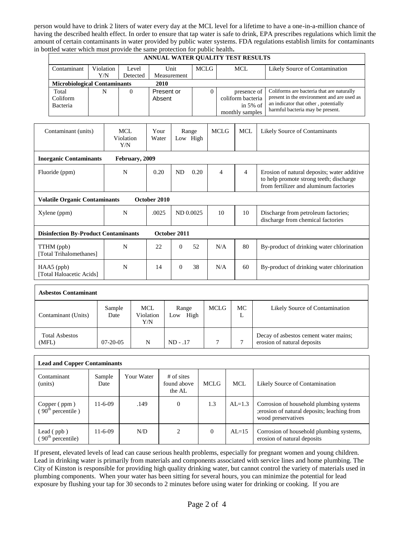person would have to drink 2 liters of water every day at the MCL level for a lifetime to have a one-in-a-million chance of having the described health effect. In order to ensure that tap water is safe to drink, EPA prescribes regulations which limit the amount of certain contaminants in water provided by public water systems. FDA regulations establish limits for contaminants in bottled water which must provide the same protection for public health**.**

| ANNUAL WATER QUALITY TEST RESULTS                           |   |  |                                |                      |                   |    |             |                     |                                                                                |                               |                                                                                                                                                                     |  |
|-------------------------------------------------------------|---|--|--------------------------------|----------------------|-------------------|----|-------------|---------------------|--------------------------------------------------------------------------------|-------------------------------|---------------------------------------------------------------------------------------------------------------------------------------------------------------------|--|
| Contaminant<br>Violation<br>Y/N                             |   |  | Level<br>Detected              | Unit<br>Measurement  |                   |    | <b>MCLG</b> |                     | <b>MCL</b>                                                                     |                               | Likely Source of Contamination                                                                                                                                      |  |
| <b>Microbiological Contaminants</b>                         |   |  |                                | 2010                 |                   |    |             |                     |                                                                                |                               |                                                                                                                                                                     |  |
| Total<br>Coliform<br>Bacteria                               | N |  | $\theta$                       | Present or<br>Absent |                   |    | $\Omega$    |                     | presence of<br>coliform bacteria<br>in $5%$ of<br>monthly samples              |                               | Coliforms are bacteria that are naturally<br>present in the environment and are used as<br>an indicator that other, potentially<br>harmful bacteria may be present. |  |
| Contaminant (units)                                         |   |  | <b>MCL</b><br>Violation<br>Y/N | Your<br>Water        | Range<br>Low High |    |             | <b>MCLG</b>         | <b>MCL</b>                                                                     | Likely Source of Contaminants |                                                                                                                                                                     |  |
| <b>Inorganic Contaminants</b>                               |   |  | February, 2009                 |                      |                   |    |             |                     |                                                                                |                               |                                                                                                                                                                     |  |
| Fluoride (ppm)                                              |   |  | N                              | 0.20                 | <b>ND</b><br>0.20 |    |             | $\overline{4}$<br>4 |                                                                                |                               | Erosion of natural deposits; water additive<br>to help promote strong teeth; discharge<br>from fertilizer and aluminum factories                                    |  |
| <b>Volatile Organic Contaminants</b>                        |   |  |                                | October 2010         |                   |    |             |                     |                                                                                |                               |                                                                                                                                                                     |  |
| Xylene (ppm)                                                |   |  | N                              | .0025                | ND 0.0025         |    |             | 10                  | 10<br>Discharge from petroleum factories;<br>discharge from chemical factories |                               |                                                                                                                                                                     |  |
| October 2011<br><b>Disinfection By-Product Contaminants</b> |   |  |                                |                      |                   |    |             |                     |                                                                                |                               |                                                                                                                                                                     |  |
| TTHM (ppb)<br>[Total Trihalomethanes]                       |   |  | N                              | 22                   | $\theta$          | 52 |             | N/A                 | 80                                                                             |                               | By-product of drinking water chlorination                                                                                                                           |  |
| $HAA5$ (ppb)<br>[Total Haloacetic Acids]                    |   |  | N                              | 14                   | $\theta$          | 38 |             | N/A                 | 60                                                                             |                               | By-product of drinking water chlorination                                                                                                                           |  |
| <b>Asbestos Contaminant</b>                                 |   |  |                                |                      |                   |    |             |                     |                                                                                |                               |                                                                                                                                                                     |  |

| Asbestos Contaminant           |                |                                |                      |             |         |                                                                      |  |  |  |  |
|--------------------------------|----------------|--------------------------------|----------------------|-------------|---------|----------------------------------------------------------------------|--|--|--|--|
| Contaminant (Units)            | Sample<br>Date | <b>MCL</b><br>Violation<br>Y/N | Range<br>High<br>Low | <b>MCLG</b> | МC<br>ப | Likely Source of Contamination                                       |  |  |  |  |
| <b>Total Asbestos</b><br>(MFL) | $07 - 20 - 05$ | N                              | $ND - .17$           |             |         | Decay of asbestos cement water mains;<br>erosion of natural deposits |  |  |  |  |

| <b>Lead and Copper Contaminants</b>                        |                |            |                                       |             |          |                                                                                                               |  |  |  |
|------------------------------------------------------------|----------------|------------|---------------------------------------|-------------|----------|---------------------------------------------------------------------------------------------------------------|--|--|--|
| Contaminant<br>(units)                                     | Sample<br>Date | Your Water | $#$ of sites<br>found above<br>the AL | <b>MCLG</b> | MCL      | Likely Source of Contamination                                                                                |  |  |  |
| Copper (ppm)<br>$(90^{\text{th}})$ percentile )            | $11-6-09$      | .149       | $\mathbf{0}$                          | 1.3         | $AL=1.3$ | Corrosion of household plumbing systems<br>; erosion of natural deposits; leaching from<br>wood preservatives |  |  |  |
| Lead $(ppb)$<br>$\frac{1}{2}$ 90 <sup>th</sup> percentile) | $11 - 6 - 09$  | N/D        | $\overline{c}$                        | $\Omega$    | $AL=15$  | Corrosion of household plumbing systems,<br>erosion of natural deposits                                       |  |  |  |

If present, elevated levels of lead can cause serious health problems, especially for pregnant women and young children. Lead in drinking water is primarily from materials and components associated with service lines and home plumbing. The City of Kinston is responsible for providing high quality drinking water, but cannot control the variety of materials used in plumbing components. When your water has been sitting for several hours, you can minimize the potential for lead exposure by flushing your tap for 30 seconds to 2 minutes before using water for drinking or cooking. If you are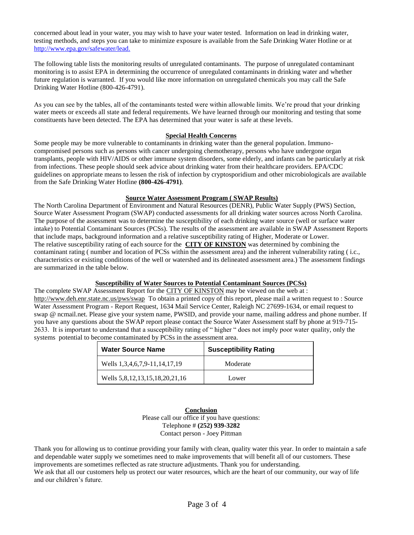concerned about lead in your water, you may wish to have your water tested. Information on lead in drinking water, testing methods, and steps you can take to minimize exposure is available from the Safe Drinking Water Hotline or at <http://www.epa.gov/safewater/lead.>

The following table lists the monitoring results of unregulated contaminants. The purpose of unregulated contaminant monitoring is to assist EPA in determining the occurrence of unregulated contaminants in drinking water and whether future regulation is warranted. If you would like more information on unregulated chemicals you may call the Safe Drinking Water Hotline (800-426-4791).

As you can see by the tables, all of the contaminants tested were within allowable limits. We're proud that your drinking water meets or exceeds all state and federal requirements. We have learned through our monitoring and testing that some constituents have been detected. The EPA has determined that your water is safe at these levels.

### **Special Health Concerns**

Some people may be more vulnerable to contaminants in drinking water than the general population. Immunocompromised persons such as persons with cancer undergoing chemotherapy, persons who have undergone organ transplants, people with HIV/AIDS or other immune system disorders, some elderly, and infants can be particularly at risk from infections. These people should seek advice about drinking water from their healthcare providers. EPA/CDC guidelines on appropriate means to lessen the risk of infection by cryptosporidium and other microbiologicals are available from the Safe Drinking Water Hotline **(800-426-4791)**.

#### **Source Water Assessment Program ( SWAP Results)**

The North Carolina Department of Environment and Natural Resources (DENR), Public Water Supply (PWS) Section, Source Water Assessment Program (SWAP) conducted assessments for all drinking water sources across North Carolina. The purpose of the assessment was to determine the susceptibility of each drinking water source (well or surface water intake) to Potential Contaminant Sources (PCSs). The results of the assessment are available in SWAP Assessment Reports that include maps, background information and a relative susceptibility rating of Higher, Moderate or Lower. The relative susceptibility rating of each source for the **CITY OF KINSTON** was determined by combining the contaminant rating ( number and location of PCSs within the assessment area) and the inherent vulnerability rating ( i.c., characteristics or existing conditions of the well or watershed and its delineated assessment area.) The assessment findings are summarized in the table below.

#### **Susceptibility of Water Sources to Potential Contaminant Sources (PCSs)**

The complete SWAP Assessment Report for the CITY OF KINSTON may be viewed on the web at : <http://www.deh.enr.state.nc.us/pws/swap>To obtain a printed copy of this report, please mail a written request to : Source Water Assessment Program - Report Request, 1634 Mail Service Center, Raleigh NC 27699-1634, or email request to swap @ ncmail.net. Please give your system name, PWSID, and provide your name, mailing address and phone number. If you have any questions about the SWAP report please contact the Source Water Assessment staff by phone at 919-715- 2633. It is important to understand that a susceptibility rating of " higher " does not imply poor water quality, only the systems potential to become contaminated by PCSs in the assessment area.

| <b>Water Source Name</b>       | <b>Susceptibility Rating</b> |
|--------------------------------|------------------------------|
| Wells 1,3,4,6,7,9-11,14,17,19  | Moderate                     |
| Wells 5,8,12,13,15,18,20,21,16 | Lower                        |

**Conclusion**  Please call our office if you have questions: Telephone # **(252) 939-3282** Contact person - Joey Pittman

Thank you for allowing us to continue providing your family with clean, quality water this year. In order to maintain a safe and dependable water supply we sometimes need to make improvements that will benefit all of our customers. These improvements are sometimes reflected as rate structure adjustments. Thank you for understanding.

We ask that all our customers help us protect our water resources, which are the heart of our community, our way of life and our children's future.